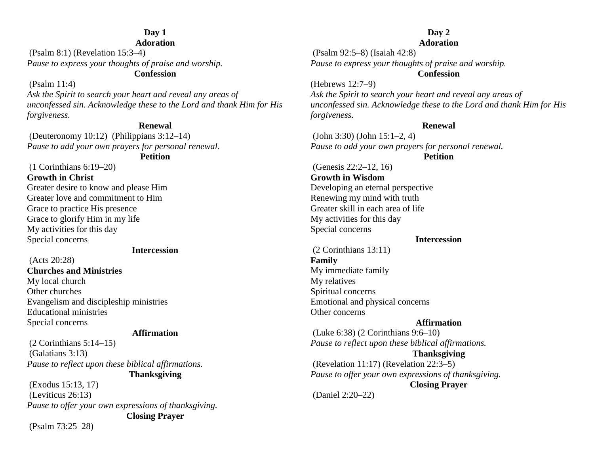#### **Day 1 Adoration**

(Psalm 8:1) (Revelation 15:3–4) *Pause to express your thoughts of praise and worship.* **Confession**

#### (Psalm 11:4)

*Ask the Spirit to search your heart and reveal any areas of unconfessed sin. Acknowledge these to the Lord and thank Him for His forgiveness.*

#### **Renewal**

(Deuteronomy 10:12) (Philippians 3:12–14) *Pause to add your own prayers for personal renewal.*

#### **Petition**

(1 Corinthians 6:19–20) **Growth in Christ** Greater desire to know and please Him Greater love and commitment to Him Grace to practice His presence Grace to glorify Him in my life My activities for this day Special concerns

#### **Intercession**

(Acts 20:28) **Churches and Ministries** My local church Other churches Evangelism and discipleship ministries Educational ministries Special concerns

#### **Affirmation**

 $(2$  Corinthians  $5:14-15$ ) (Galatians 3:13) *Pause to reflect upon these biblical affirmations.*

**Thanksgiving**

(Exodus 15:13, 17) (Leviticus 26:13) *Pause to offer your own expressions of thanksgiving.* **Closing Prayer**

(Psalm 73:25–28)

#### **Day 2 Adoration**

(Psalm 92:5–8) (Isaiah 42:8) *Pause to express your thoughts of praise and worship.*

#### **Confession**

(Hebrews 12:7–9) *Ask the Spirit to search your heart and reveal any areas of unconfessed sin. Acknowledge these to the Lord and thank Him for His forgiveness.*

#### **Renewal**

(John 3:30) (John 15:1–2, 4) *Pause to add your own prayers for personal renewal.*

#### **Petition**

(Genesis 22:2–12, 16) **Growth in Wisdom** Developing an eternal perspective Renewing my mind with truth Greater skill in each area of life My activities for this day Special concerns

#### **Intercession**

(2 Corinthians 13:11) **Family** My immediate family My relatives Spiritual concerns Emotional and physical concerns Other concerns

#### **Affirmation**

(Luke 6:38) (2 Corinthians 9:6–10) *Pause to reflect upon these biblical affirmations.* **Thanksgiving** (Revelation 11:17) (Revelation 22:3–5) *Pause to offer your own expressions of thanksgiving.* **Closing Prayer** (Daniel 2:20–22)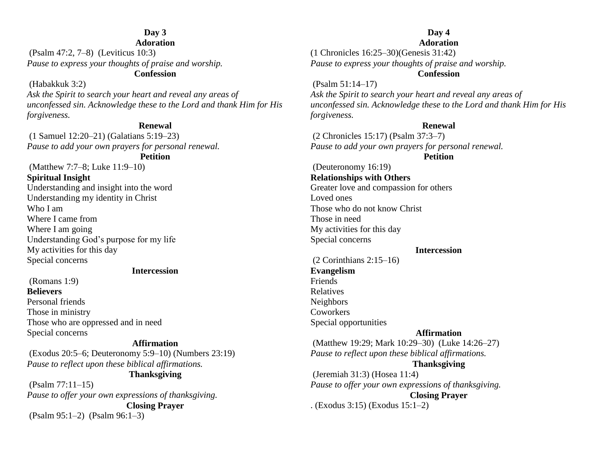### **Day 3**

**Adoration**

(Psalm 47:2, 7–8) (Leviticus 10:3) *Pause to express your thoughts of praise and worship.* **Confession**

#### (Habakkuk 3:2)

*Ask the Spirit to search your heart and reveal any areas of unconfessed sin. Acknowledge these to the Lord and thank Him for His forgiveness.*

#### **Renewal**

(1 Samuel 12:20–21) (Galatians 5:19–23) *Pause to add your own prayers for personal renewal.*

**Petition**

(Matthew 7:7–8; Luke 11:9–10) **Spiritual Insight** Understanding and insight into the word Understanding my identity in Christ Who I am Where I came from Where I am going Understanding God's purpose for my life My activities for this day Special concerns

#### **Intercession**

(Romans 1:9) **Believers** Personal friends Those in ministry Those who are oppressed and in need Special concerns

#### **Affirmation**

(Exodus 20:5–6; Deuteronomy 5:9–10) (Numbers 23:19) *Pause to reflect upon these biblical affirmations.*

#### **Thanksgiving**

(Psalm 77:11–15) *Pause to offer your own expressions of thanksgiving.* **Closing Prayer** (Psalm 95:1–2) (Psalm 96:1–3)

#### **Day 4 Adoration**

(1 Chronicles 16:25–30)(Genesis 31:42) *Pause to express your thoughts of praise and worship.* **Confession**

#### (Psalm 51:14–17)

*Ask the Spirit to search your heart and reveal any areas of unconfessed sin. Acknowledge these to the Lord and thank Him for His forgiveness.*

#### **Renewal**

(2 Chronicles 15:17) (Psalm 37:3–7) *Pause to add your own prayers for personal renewal.*

#### **Petition**

(Deuteronomy 16:19) **Relationships with Others** Greater love and compassion for others Loved ones Those who do not know Christ Those in need My activities for this day Special concerns

#### **Intercession**

#### (2 Corinthians 2:15–16) **Evangelism** Friends Relatives Neighbors **Coworkers** Special opportunities

#### **Affirmation**

(Matthew 19:29; Mark 10:29–30) (Luke 14:26–27) *Pause to reflect upon these biblical affirmations.* **Thanksgiving** (Jeremiah 31:3) (Hosea 11:4) *Pause to offer your own expressions of thanksgiving.* **Closing Prayer** . (Exodus 3:15) (Exodus 15:1–2)